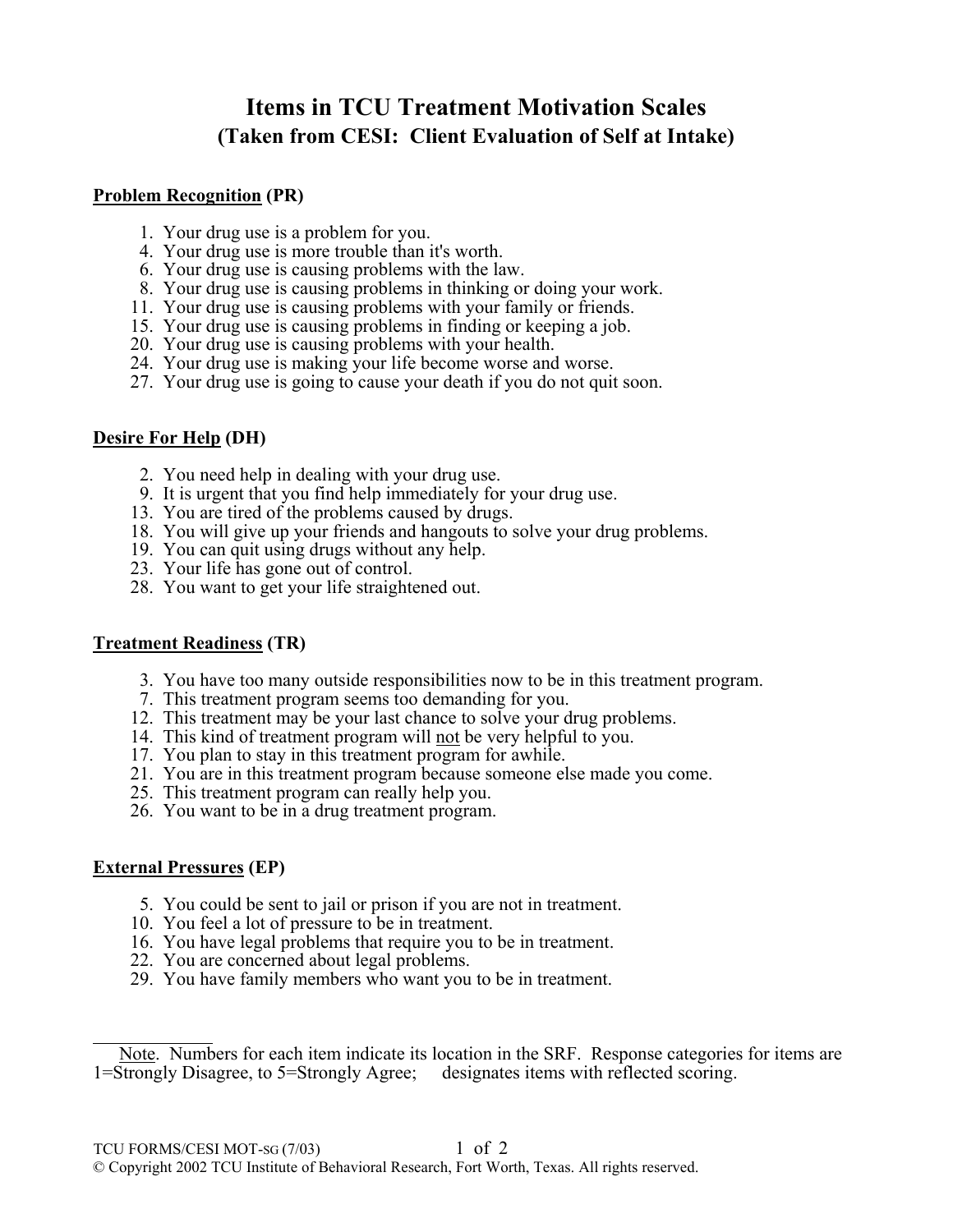# **Items in TCU Treatment Motivation Scales (Taken from CESI: Client Evaluation of Self at Intake)**

### **Problem Recognition (PR)**

- 1. Your drug use is a problem for you.
- 4. Your drug use is more trouble than it's worth.
- 6. Your drug use is causing problems with the law.
- 8. Your drug use is causing problems in thinking or doing your work.
- 11. Your drug use is causing problems with your family or friends.
- 15. Your drug use is causing problems in finding or keeping a job.
- 20. Your drug use is causing problems with your health.
- 24. Your drug use is making your life become worse and worse.
- 27. Your drug use is going to cause your death if you do not quit soon.

## **Desire For Help (DH)**

- 2. You need help in dealing with your drug use.
- 9. It is urgent that you find help immediately for your drug use.
- 13. You are tired of the problems caused by drugs.
- 18. You will give up your friends and hangouts to solve your drug problems.
- 19. You can quit using drugs without any help.
- 23. Your life has gone out of control.
- 28. You want to get your life straightened out.

## **Treatment Readiness (TR)**

- 3. You have too many outside responsibilities now to be in this treatment program.  $\circledR$
- 7. This treatment program seems too demanding for you.
- 12. This treatment may be your last chance to solve your drug problems.
- 14. This kind of treatment program will not be very helpful to you.  $\mathbb{R}$
- 17. You plan to stay in this treatment program for awhile.
- 21. You are in this treatment program because someone else made you come.
- 25. This treatment program can really help you.
- 26. You want to be in a drug treatment program.

## **External Pressures (EP)**

- 5. You could be sent to jail or prison if you are not in treatment.
- 10. You feel a lot of pressure to be in treatment.
- 16. You have legal problems that require you to be in treatment.
- 22. You are concerned about legal problems.
- 29. You have family members who want you to be in treatment.

Note. Numbers for each item indicate its location in the SRF. Response categories for items are 1=Strongly Disagree, to 5=Strongly Agree; <sup>®</sup> designates items with reflected scoring.